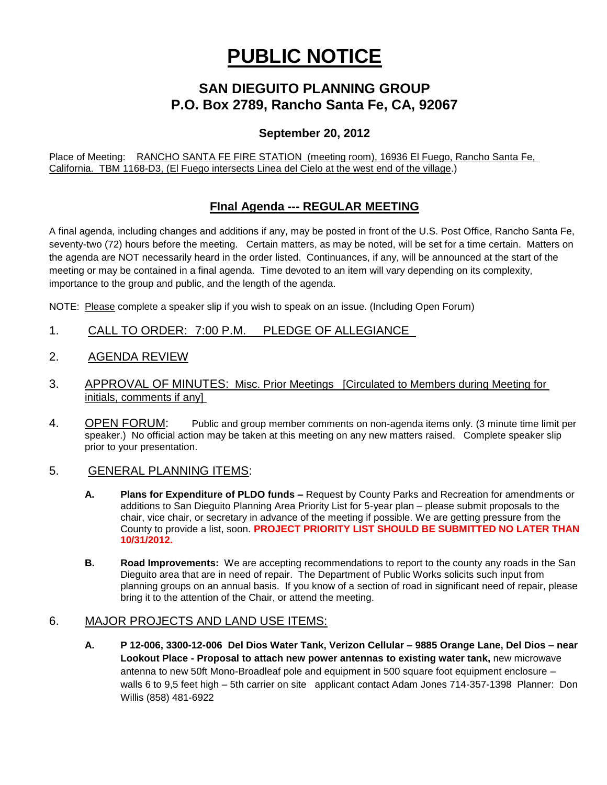# **PUBLIC NOTICE**

## **SAN DIEGUITO PLANNING GROUP P.O. Box 2789, Rancho Santa Fe, CA, 92067**

#### **September 20, 2012**

Place of Meeting: RANCHO SANTA FE FIRE STATION (meeting room), 16936 El Fuego, Rancho Santa Fe, California. TBM 1168-D3, (El Fuego intersects Linea del Cielo at the west end of the village.)

### **FInal Agenda --- REGULAR MEETING**

A final agenda, including changes and additions if any, may be posted in front of the U.S. Post Office, Rancho Santa Fe, seventy-two (72) hours before the meeting. Certain matters, as may be noted, will be set for a time certain. Matters on the agenda are NOT necessarily heard in the order listed. Continuances, if any, will be announced at the start of the meeting or may be contained in a final agenda. Time devoted to an item will vary depending on its complexity, importance to the group and public, and the length of the agenda.

NOTE: Please complete a speaker slip if you wish to speak on an issue. (Including Open Forum)

- 1. CALL TO ORDER: 7:00 P.M. PLEDGE OF ALLEGIANCE
- 2. AGENDA REVIEW
- 3. APPROVAL OF MINUTES: Misc. Prior Meetings [Circulated to Members during Meeting for initials, comments if any]
- 4. OPEN FORUM: Public and group member comments on non-agenda items only. (3 minute time limit per speaker.) No official action may be taken at this meeting on any new matters raised. Complete speaker slip prior to your presentation.

#### 5. GENERAL PLANNING ITEMS:

- **A. Plans for Expenditure of PLDO funds –** Request by County Parks and Recreation for amendments or additions to San Dieguito Planning Area Priority List for 5-year plan – please submit proposals to the chair, vice chair, or secretary in advance of the meeting if possible. We are getting pressure from the County to provide a list, soon. **PROJECT PRIORITY LIST SHOULD BE SUBMITTED NO LATER THAN 10/31/2012.**
- **B. Road Improvements:** We are accepting recommendations to report to the county any roads in the San Dieguito area that are in need of repair. The Department of Public Works solicits such input from planning groups on an annual basis. If you know of a section of road in significant need of repair, please bring it to the attention of the Chair, or attend the meeting.

#### 6. MAJOR PROJECTS AND LAND USE ITEMS:

**A. P 12-006, 3300-12-006 Del Dios Water Tank, Verizon Cellular – 9885 Orange Lane, Del Dios – near Lookout Place - Proposal to attach new power antennas to existing water tank,** new microwave antenna to new 50ft Mono-Broadleaf pole and equipment in 500 square foot equipment enclosure – walls 6 to 9,5 feet high – 5th carrier on site applicant contact Adam Jones 714-357-1398 Planner: Don Willis (858) 481-6922